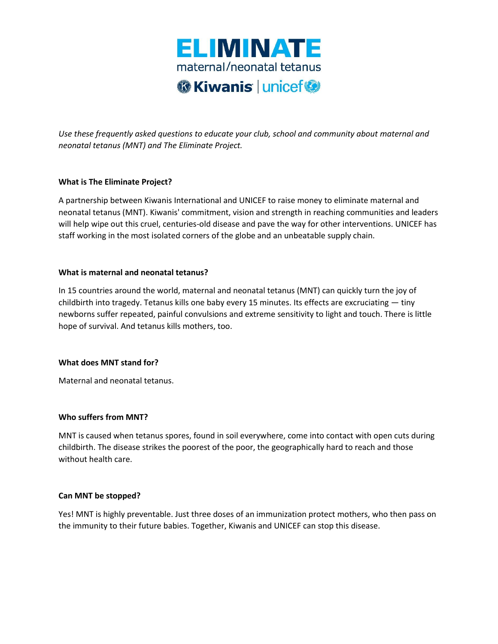

*Use these frequently asked questions to educate your club, school and community about maternal and neonatal tetanus (MNT) and The Eliminate Project.* 

# **What is The Eliminate Project?**

A partnership between Kiwanis International and UNICEF to raise money to eliminate maternal and neonatal tetanus (MNT). Kiwanis' commitment, vision and strength in reaching communities and leaders will help wipe out this cruel, centuries-old disease and pave the way for other interventions. UNICEF has staff working in the most isolated corners of the globe and an unbeatable supply chain.

### **What is maternal and neonatal tetanus?**

In 15 countries around the world, maternal and neonatal tetanus (MNT) can quickly turn the joy of childbirth into tragedy. Tetanus kills one baby every 15 minutes. Its effects are excruciating — tiny newborns suffer repeated, painful convulsions and extreme sensitivity to light and touch. There is little hope of survival. And tetanus kills mothers, too.

# **What does MNT stand for?**

Maternal and neonatal tetanus.

### **Who suffers from MNT?**

MNT is caused when tetanus spores, found in soil everywhere, come into contact with open cuts during childbirth. The disease strikes the poorest of the poor, the geographically hard to reach and those without health care.

### **Can MNT be stopped?**

Yes! MNT is highly preventable. Just three doses of an immunization protect mothers, who then pass on the immunity to their future babies. Together, Kiwanis and UNICEF can stop this disease.